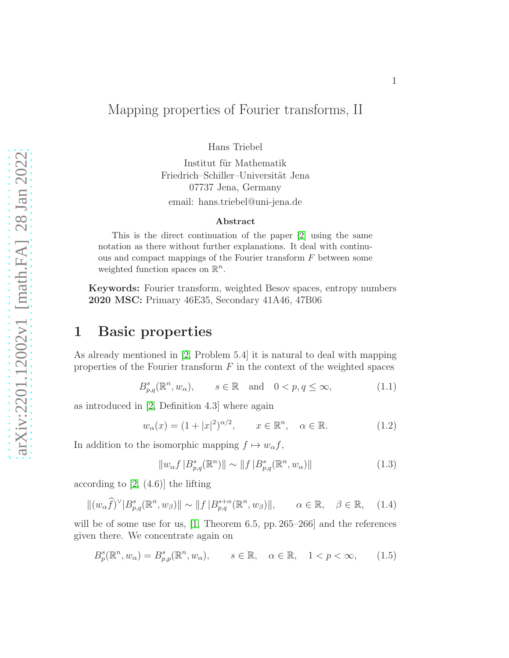### Mapping properties of Fourier transforms, II

Hans Triebel

Institut für Mathematik Friedrich–Schiller–Universität Jena 07737 Jena, Germany email: hans.triebel@uni-jena.de

#### Abstract

This is the direct continuation of the paper [\[2\]](#page-7-0) using the same notation as there without further explanations. It deal with continuous and compact mappings of the Fourier transform F between some weighted function spaces on  $\mathbb{R}^n$ .

Keywords: Fourier transform, weighted Besov spaces, entropy numbers 2020 MSC: Primary 46E35, Secondary 41A46, 47B06

## 1 Basic properties

As already mentioned in [\[2,](#page-7-0) Problem 5.4] it is natural to deal with mapping properties of the Fourier transform  $F$  in the context of the weighted spaces

$$
B_{p,q}^{s}(\mathbb{R}^{n}, w_{\alpha}), \qquad s \in \mathbb{R} \quad \text{and} \quad 0 < p, q \le \infty,
$$
 (1.1)

as introduced in [\[2,](#page-7-0) Definition 4.3] where again

$$
w_{\alpha}(x) = (1+|x|^2)^{\alpha/2}, \qquad x \in \mathbb{R}^n, \quad \alpha \in \mathbb{R}.
$$
 (1.2)

In addition to the isomorphic mapping  $f \mapsto w_{\alpha} f$ ,

<span id="page-0-1"></span>
$$
||w_{\alpha}f|B_{p,q}^{s}(\mathbb{R}^{n})|| \sim ||f|B_{p,q}^{s}(\mathbb{R}^{n}, w_{\alpha})|| \qquad (1.3)
$$

according to  $[2, (4.6)]$  the lifting

<span id="page-0-0"></span>
$$
\|(w_{\alpha}\widehat{f})^{\vee}|B_{p,q}^{s}(\mathbb{R}^{n},w_{\beta})\| \sim \|f|B_{p,q}^{s+\alpha}(\mathbb{R}^{n},w_{\beta})\|, \qquad \alpha \in \mathbb{R}, \quad \beta \in \mathbb{R}, \quad (1.4)
$$

will be of some use for us, [\[1,](#page-7-1) Theorem 6.5, pp. 265–266] and the references given there. We concentrate again on

$$
B_p^s(\mathbb{R}^n, w_\alpha) = B_{p,p}^s(\mathbb{R}^n, w_\alpha), \qquad s \in \mathbb{R}, \quad \alpha \in \mathbb{R}, \quad 1 < p < \infty,\tag{1.5}
$$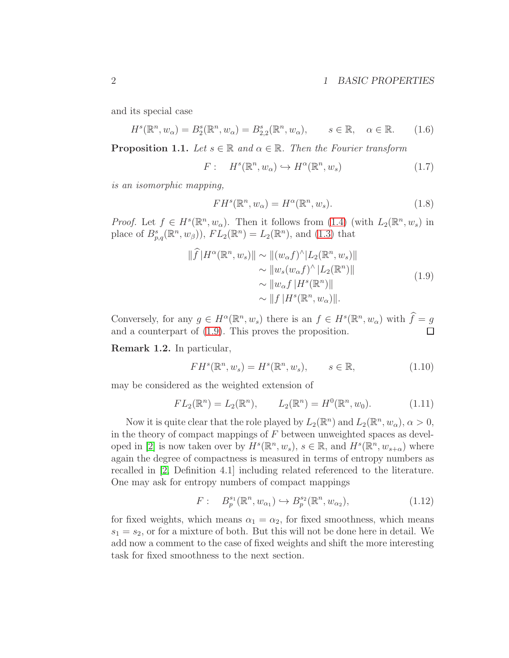### 2 1 BASIC PROPERTIES

and its special case

<span id="page-1-3"></span>
$$
H^s(\mathbb{R}^n, w_\alpha) = B_2^s(\mathbb{R}^n, w_\alpha) = B_{2,2}^s(\mathbb{R}^n, w_\alpha), \qquad s \in \mathbb{R}, \quad \alpha \in \mathbb{R}.\tag{1.6}
$$

<span id="page-1-4"></span>**Proposition 1.1.** Let  $s \in \mathbb{R}$  and  $\alpha \in \mathbb{R}$ . Then the Fourier transform

$$
F: Hs(\mathbb{R}^n, w_\alpha) \hookrightarrow H^\alpha(\mathbb{R}^n, w_s)
$$
 (1.7)

is an isomorphic mapping,

<span id="page-1-1"></span>
$$
FH^{s}(\mathbb{R}^{n}, w_{\alpha}) = H^{\alpha}(\mathbb{R}^{n}, w_{s}).
$$
\n(1.8)

*Proof.* Let  $f \in H^s(\mathbb{R}^n, w_\alpha)$ . Then it follows from [\(1.4\)](#page-0-0) (with  $L_2(\mathbb{R}^n, w_s)$  in place of  $B_{p,q}^s(\mathbb{R}^n, w_\beta)$ ,  $FL_2(\mathbb{R}^n) = L_2(\mathbb{R}^n)$ , and [\(1.3\)](#page-0-1) that

<span id="page-1-0"></span>
$$
\|\widehat{f}|H^{\alpha}(\mathbb{R}^n, w_s)\| \sim \| (w_{\alpha}f)^{\wedge} |L_2(\mathbb{R}^n, w_s)\|
$$
  
\n
$$
\sim \|w_s(w_{\alpha}f)^{\wedge} |L_2(\mathbb{R}^n)\|
$$
  
\n
$$
\sim \|w_{\alpha}f|H^s(\mathbb{R}^n)\|
$$
  
\n
$$
\sim \|f|H^s(\mathbb{R}^n, w_{\alpha})\|.
$$
\n(1.9)

Conversely, for any  $g \in H^{\alpha}(\mathbb{R}^n, w_s)$  there is an  $f \in H^s(\mathbb{R}^n, w_\alpha)$  with  $\widehat{f} = g$ and a counterpart of [\(1.9\)](#page-1-0). This proves the proposition.

Remark 1.2. In particular,

<span id="page-1-2"></span>
$$
FH^{s}(\mathbb{R}^{n}, w_{s}) = H^{s}(\mathbb{R}^{n}, w_{s}), \qquad s \in \mathbb{R}, \qquad (1.10)
$$

may be considered as the weighted extension of

$$
FL_2(\mathbb{R}^n) = L_2(\mathbb{R}^n), \qquad L_2(\mathbb{R}^n) = H^0(\mathbb{R}^n, w_0).
$$
 (1.11)

Now it is quite clear that the role played by  $L_2(\mathbb{R}^n)$  and  $L_2(\mathbb{R}^n, w_\alpha)$ ,  $\alpha > 0$ , in the theory of compact mappings of  $F$  between unweighted spaces as devel-oped in [\[2\]](#page-7-0) is now taken over by  $H^s(\mathbb{R}^n, w_s)$ ,  $s \in \mathbb{R}$ , and  $H^s(\mathbb{R}^n, w_{s+\alpha})$  where again the degree of compactness is measured in terms of entropy numbers as recalled in [\[2,](#page-7-0) Definition 4.1] including related referenced to the literature. One may ask for entropy numbers of compact mappings

$$
F: \quad B_p^{s_1}(\mathbb{R}^n, w_{\alpha_1}) \hookrightarrow B_p^{s_2}(\mathbb{R}^n, w_{\alpha_2}), \tag{1.12}
$$

for fixed weights, which means  $\alpha_1 = \alpha_2$ , for fixed smoothness, which means  $s_1 = s_2$ , or for a mixture of both. But this will not be done here in detail. We add now a comment to the case of fixed weights and shift the more interesting task for fixed smoothness to the next section.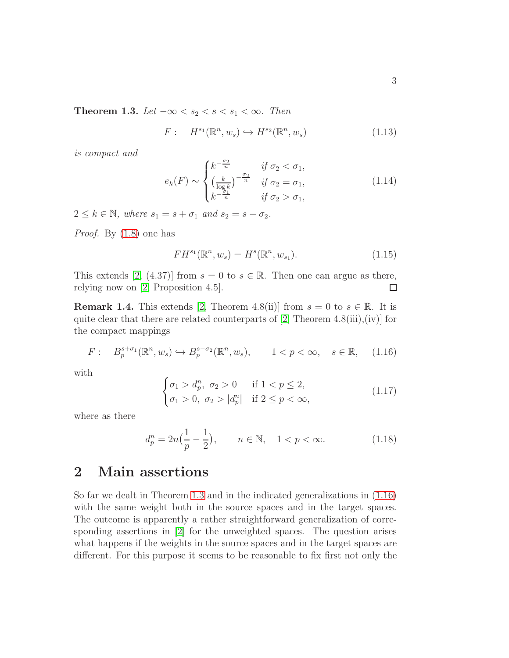$$
F: H^{s_1}(\mathbb{R}^n, w_s) \hookrightarrow H^{s_2}(\mathbb{R}^n, w_s) \tag{1.13}
$$

<span id="page-2-0"></span>is compact and

$$
e_k(F) \sim \begin{cases} k^{-\frac{\sigma_2}{n}} & \text{if } \sigma_2 < \sigma_1, \\ \left(\frac{k}{\log k}\right)^{-\frac{\sigma_2}{n}} & \text{if } \sigma_2 = \sigma_1, \\ k^{-\frac{\sigma_1}{n}} & \text{if } \sigma_2 > \sigma_1, \end{cases} \tag{1.14}
$$

 $2 \leq k \in \mathbb{N}$ , where  $s_1 = s + \sigma_1$  and  $s_2 = s - \sigma_2$ .

Proof. By [\(1.8\)](#page-1-1) one has

$$
FH^{s_1}(\mathbb{R}^n, w_s) = H^s(\mathbb{R}^n, w_{s_1}).
$$
\n(1.15)

This extends [\[2,](#page-7-0) (4.37)] from  $s = 0$  to  $s \in \mathbb{R}$ . Then one can argue as there, relying now on [2, Proposition 4.5]. relying now on [\[2,](#page-7-0) Proposition 4.5].

**Remark 1.4.** This extends [\[2,](#page-7-0) Theorem 4.8(ii)] from  $s = 0$  to  $s \in \mathbb{R}$ . It is quite clear that there are related counterparts of [\[2,](#page-7-0) Theorem 4.8(iii),(iv)] for the compact mappings

<span id="page-2-1"></span>
$$
F: \quad B_p^{s+\sigma_1}(\mathbb{R}^n, w_s) \hookrightarrow B_p^{s-\sigma_2}(\mathbb{R}^n, w_s), \qquad 1 < p < \infty, \quad s \in \mathbb{R}, \tag{1.16}
$$

with

$$
\begin{cases}\n\sigma_1 > d_p^n, \ \sigma_2 > 0 \\
\sigma_1 > 0, \ \sigma_2 > |d_p^n| \quad \text{if } 2 \le p < \infty,\n\end{cases} \tag{1.17}
$$

where as there

<span id="page-2-2"></span>
$$
d_p^n = 2n\left(\frac{1}{p} - \frac{1}{2}\right), \qquad n \in \mathbb{N}, \quad 1 < p < \infty. \tag{1.18}
$$

## 2 Main assertions

So far we dealt in Theorem [1.3](#page-2-0) and in the indicated generalizations in [\(1.16\)](#page-2-1) with the same weight both in the source spaces and in the target spaces. The outcome is apparently a rather straightforward generalization of corresponding assertions in [\[2\]](#page-7-0) for the unweighted spaces. The question arises what happens if the weights in the source spaces and in the target spaces are different. For this purpose it seems to be reasonable to fix first not only the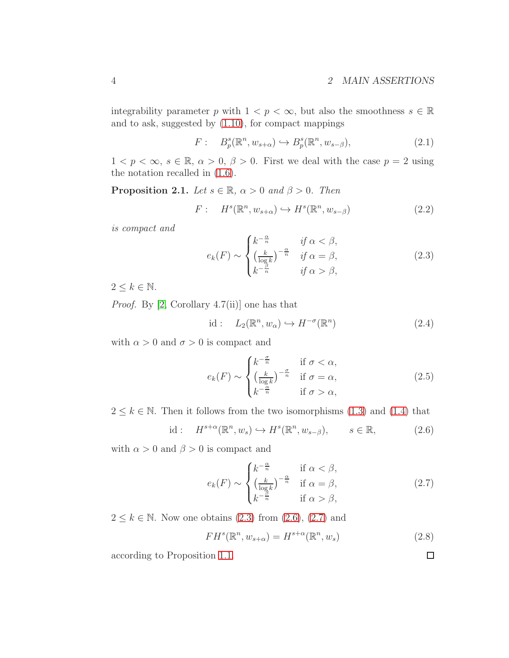integrability parameter p with  $1 < p < \infty$ , but also the smoothness  $s \in \mathbb{R}$ and to ask, suggested by [\(1.10\)](#page-1-2), for compact mappings

<span id="page-3-4"></span>
$$
F: \quad B_p^s(\mathbb{R}^n, w_{s+\alpha}) \hookrightarrow B_p^s(\mathbb{R}^n, w_{s-\beta}),\tag{2.1}
$$

 $1 < p < \infty$ ,  $s \in \mathbb{R}$ ,  $\alpha > 0$ ,  $\beta > 0$ . First we deal with the case  $p = 2$  using the notation recalled in [\(1.6\)](#page-1-3).

<span id="page-3-3"></span>**Proposition 2.1.** Let  $s \in \mathbb{R}$ ,  $\alpha > 0$  and  $\beta > 0$ . Then

$$
F: Hs(\mathbb{R}^n, w_{s+\alpha}) \hookrightarrow Hs(\mathbb{R}^n, w_{s-\beta})
$$
 (2.2)

is compact and

<span id="page-3-0"></span>
$$
e_k(F) \sim \begin{cases} k^{-\frac{\alpha}{n}} & \text{if } \alpha < \beta, \\ \left(\frac{k}{\log k}\right)^{-\frac{\alpha}{n}} & \text{if } \alpha = \beta, \\ k^{-\frac{\beta}{n}} & \text{if } \alpha > \beta, \end{cases} \tag{2.3}
$$

 $2 \leq k \in \mathbb{N}$ .

*Proof.* By [\[2,](#page-7-0) Corollary 4.7(ii)] one has that

$$
id: L_2(\mathbb{R}^n, w_\alpha) \hookrightarrow H^{-\sigma}(\mathbb{R}^n)
$$
\n(2.4)

with  $\alpha > 0$  and  $\sigma > 0$  is compact and

$$
e_k(F) \sim \begin{cases} k^{-\frac{\sigma}{n}} & \text{if } \sigma < \alpha, \\ \left(\frac{k}{\log k}\right)^{-\frac{\sigma}{n}} & \text{if } \sigma = \alpha, \\ k^{-\frac{\alpha}{n}} & \text{if } \sigma > \alpha, \end{cases} \tag{2.5}
$$

 $2 \leq k \in \mathbb{N}$ . Then it follows from the two isomorphisms [\(1.3\)](#page-0-1) and [\(1.4\)](#page-0-0) that

<span id="page-3-1"></span>
$$
\text{id}: \quad H^{s+\alpha}(\mathbb{R}^n, w_s) \hookrightarrow H^s(\mathbb{R}^n, w_{s-\beta}), \qquad s \in \mathbb{R}, \tag{2.6}
$$

with  $\alpha > 0$  and  $\beta > 0$  is compact and

<span id="page-3-2"></span>
$$
e_k(F) \sim \begin{cases} k^{-\frac{\alpha}{n}} & \text{if } \alpha < \beta, \\ \left(\frac{k}{\log k}\right)^{-\frac{\alpha}{n}} & \text{if } \alpha = \beta, \\ k^{-\frac{\beta}{n}} & \text{if } \alpha > \beta, \end{cases}
$$
 (2.7)

 $2 \leq k \in \mathbb{N}$ . Now one obtains  $(2.3)$  from  $(2.6)$ ,  $(2.7)$  and

$$
FH^{s}(\mathbb{R}^{n}, w_{s+\alpha}) = H^{s+\alpha}(\mathbb{R}^{n}, w_{s})
$$
\n(2.8)

according to Proposition [1.1.](#page-1-4)

 $\Box$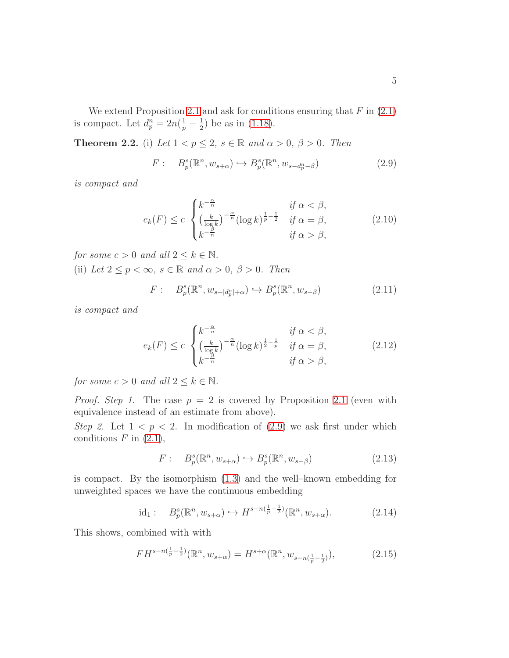We extend Proposition [2.1](#page-3-3) and ask for conditions ensuring that  $F$  in  $(2.1)$ is compact. Let  $d_p^n = 2n(\frac{1}{p} - \frac{1}{2})$  $(\frac{1}{2})$  be as in [\(1.18\)](#page-2-2).

<span id="page-4-6"></span>**Theorem 2.2.** (i) Let  $1 < p \leq 2$ ,  $s \in \mathbb{R}$  and  $\alpha > 0$ ,  $\beta > 0$ . Then

<span id="page-4-0"></span>
$$
F: B_p^s(\mathbb{R}^n, w_{s+\alpha}) \hookrightarrow B_p^s(\mathbb{R}^n, w_{s-d_p^n-\beta})
$$
\n(2.9)

is compact and

<span id="page-4-2"></span>
$$
e_k(F) \le c \begin{cases} k^{-\frac{\alpha}{n}} & \text{if } \alpha < \beta, \\ \left(\frac{k}{\log k}\right)^{-\frac{\alpha}{n}} (\log k)^{\frac{1}{p} - \frac{1}{2}} & \text{if } \alpha = \beta, \\ k^{-\frac{\beta}{n}} & \text{if } \alpha > \beta, \end{cases} \tag{2.10}
$$

for some  $c > 0$  and all  $2 \leq k \in \mathbb{N}$ .

(ii) Let  $2 \le p < \infty$ ,  $s \in \mathbb{R}$  and  $\alpha > 0$ ,  $\beta > 0$ . Then

<span id="page-4-4"></span>
$$
F: B_p^s(\mathbb{R}^n, w_{s+|d_p^n|+\alpha}) \hookrightarrow B_p^s(\mathbb{R}^n, w_{s-\beta})
$$
\n(2.11)

is compact and

<span id="page-4-5"></span>
$$
e_k(F) \le c \begin{cases} k^{-\frac{\alpha}{n}} & \text{if } \alpha < \beta, \\ \left(\frac{k}{\log k}\right)^{-\frac{\alpha}{n}} (\log k)^{\frac{1}{2} - \frac{1}{p}} & \text{if } \alpha = \beta, \\ k^{-\frac{\beta}{n}} & \text{if } \alpha > \beta, \end{cases} \tag{2.12}
$$

for some  $c > 0$  and all  $2 \leq k \in \mathbb{N}$ .

*Proof.* Step 1. The case  $p = 2$  is covered by Proposition [2.1](#page-3-3) (even with equivalence instead of an estimate from above).

Step 2. Let  $1 < p < 2$ . In modification of [\(2.9\)](#page-4-0) we ask first under which conditions  $F$  in  $(2.1)$ ,

<span id="page-4-1"></span>
$$
F: B_p^s(\mathbb{R}^n, w_{s+\alpha}) \hookrightarrow B_p^s(\mathbb{R}^n, w_{s-\beta})
$$
\n(2.13)

is compact. By the isomorphism [\(1.3\)](#page-0-1) and the well–known embedding for unweighted spaces we have the continuous embedding

<span id="page-4-3"></span>
$$
\mathrm{id}_1: \quad B_p^s(\mathbb{R}^n, w_{s+\alpha}) \hookrightarrow H^{s-n(\frac{1}{p}-\frac{1}{2})}(\mathbb{R}^n, w_{s+\alpha}).\tag{2.14}
$$

This shows, combined with with

$$
FH^{s-n(\frac{1}{p}-\frac{1}{2})}(\mathbb{R}^n, w_{s+\alpha}) = H^{s+\alpha}(\mathbb{R}^n, w_{s-n(\frac{1}{p}-\frac{1}{2})}),
$$
\n(2.15)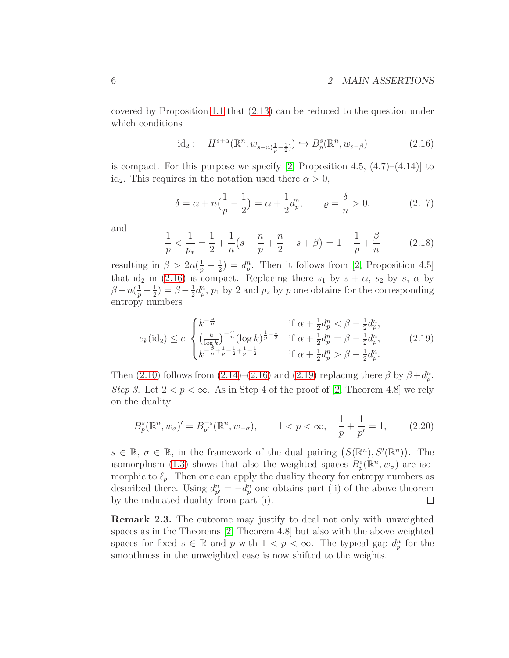covered by Proposition [1.1](#page-1-4) that [\(2.13\)](#page-4-1) can be reduced to the question under which conditions

<span id="page-5-0"></span>
$$
\mathrm{id}_2: \quad H^{s+\alpha}(\mathbb{R}^n, w_{s-n(\frac{1}{p}-\frac{1}{2})}) \hookrightarrow B_p^s(\mathbb{R}^n, w_{s-\beta}) \tag{2.16}
$$

is compact. For this purpose we specify [\[2,](#page-7-0) Proposition 4.5,  $(4.7)$ – $(4.14)$ ] to id<sub>2</sub>. This requires in the notation used there  $\alpha > 0$ ,

$$
\delta = \alpha + n\left(\frac{1}{p} - \frac{1}{2}\right) = \alpha + \frac{1}{2}d_p^n, \qquad \varrho = \frac{\delta}{n} > 0,\tag{2.17}
$$

and

$$
\frac{1}{p} < \frac{1}{p_*} = \frac{1}{2} + \frac{1}{n} \left( s - \frac{n}{p} + \frac{n}{2} - s + \beta \right) = 1 - \frac{1}{p} + \frac{\beta}{n} \tag{2.18}
$$

resulting in  $\beta > 2n(\frac{1}{p} - \frac{1}{2})$  $\frac{1}{2}$ ) =  $d_p^n$ . Then it follows from [\[2,](#page-7-0) Proposition 4.5] that id<sub>2</sub> in [\(2.16\)](#page-5-0) is compact. Replacing there  $s_1$  by  $s + \alpha$ ,  $s_2$  by s,  $\alpha$  by  $\beta - n(\frac{1}{p} - \frac{1}{2})$  $(\frac{1}{2}) = \beta - \frac{1}{2}$  $\frac{1}{2}d_p^n$ ,  $p_1$  by 2 and  $p_2$  by p one obtains for the corresponding entropy numbers

<span id="page-5-1"></span>
$$
e_k(\text{id}_2) \le c \begin{cases} k^{-\frac{\alpha}{n}} & \text{if } \alpha + \frac{1}{2}d_p^n < \beta - \frac{1}{2}d_p^n, \\ \left(\frac{k}{\log k}\right)^{-\frac{\alpha}{n}} (\log k)^{\frac{1}{p} - \frac{1}{2}} & \text{if } \alpha + \frac{1}{2}d_p^n = \beta - \frac{1}{2}d_p^n, \\ k^{-\frac{\beta}{n} + \frac{1}{p} - \frac{1}{2} + \frac{1}{p} - \frac{1}{2}} & \text{if } \alpha + \frac{1}{2}d_p^n > \beta - \frac{1}{2}d_p^n. \end{cases} \tag{2.19}
$$

Then [\(2.10\)](#page-4-2) follows from [\(2.14\)](#page-4-3)–[\(2.16\)](#page-5-0) and [\(2.19\)](#page-5-1) replacing there  $\beta$  by  $\beta + d_p^n$ . Step 3. Let  $2 < p < \infty$ . As in Step 4 of the proof of [\[2,](#page-7-0) Theorem 4.8] we rely on the duality

$$
B_p^s(\mathbb{R}^n, w_\sigma)' = B_{p'}^{-s}(\mathbb{R}^n, w_{-\sigma}), \qquad 1 < p < \infty, \quad \frac{1}{p} + \frac{1}{p'} = 1,\tag{2.20}
$$

 $s \in \mathbb{R}, \sigma \in \mathbb{R}$ , in the framework of the dual pairing  $(S(\mathbb{R}^n), S'(\mathbb{R}^n))$ . The isomorphism [\(1.3\)](#page-0-1) shows that also the weighted spaces  $B_p^s(\mathbb{R}^n, w_\sigma)$  are isomorphic to  $\ell_p$ . Then one can apply the duality theory for entropy numbers as described there. Using  $d_{p'}^n = -d_p^n$  one obtains part (ii) of the above theorem by the indicated duality from part (i).  $\Box$ 

Remark 2.3. The outcome may justify to deal not only with unweighted spaces as in the Theorems [\[2,](#page-7-0) Theorem 4.8] but also with the above weighted spaces for fixed  $s \in \mathbb{R}$  and p with  $1 < p < \infty$ . The typical gap  $d_p^n$  for the smoothness in the unweighted case is now shifted to the weights.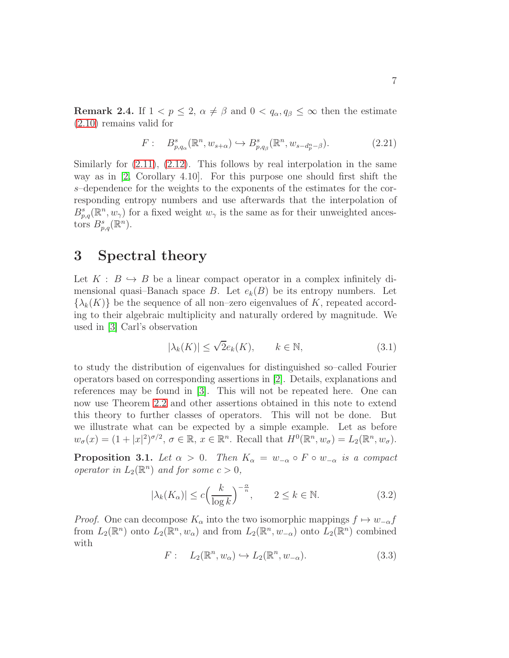**Remark 2.4.** If  $1 < p \leq 2$ ,  $\alpha \neq \beta$  and  $0 < q_{\alpha}, q_{\beta} \leq \infty$  then the estimate [\(2.10\)](#page-4-2) remains valid for

$$
F: \quad B_{p,q_{\alpha}}^{s}(\mathbb{R}^{n},w_{s+\alpha}) \hookrightarrow B_{p,q_{\beta}}^{s}(\mathbb{R}^{n},w_{s-d_{p}^{n}-\beta}).\tag{2.21}
$$

Similarly for  $(2.11)$ ,  $(2.12)$ . This follows by real interpolation in the same way as in [\[2,](#page-7-0) Corollary 4.10]. For this purpose one should first shift the s–dependence for the weights to the exponents of the estimates for the corresponding entropy numbers and use afterwards that the interpolation of  $B_{p,q}^s(\mathbb{R}^n, w_\gamma)$  for a fixed weight  $w_\gamma$  is the same as for their unweighted ancestors  $B_{p,q}^s(\mathbb{R}^n)$ .

### 3 Spectral theory

Let  $K : B \hookrightarrow B$  be a linear compact operator in a complex infinitely dimensional quasi–Banach space B. Let  $e_k(B)$  be its entropy numbers. Let  $\{\lambda_k(K)\}\$  be the sequence of all non–zero eigenvalues of K, repeated according to their algebraic multiplicity and naturally ordered by magnitude. We used in [\[3\]](#page-7-2) Carl's observation

<span id="page-6-1"></span>
$$
|\lambda_k(K)| \le \sqrt{2}e_k(K), \qquad k \in \mathbb{N}, \tag{3.1}
$$

to study the distribution of eigenvalues for distinguished so–called Fourier operators based on corresponding assertions in [\[2\]](#page-7-0). Details, explanations and references may be found in [\[3\]](#page-7-2). This will not be repeated here. One can now use Theorem [2.2](#page-4-6) and other assertions obtained in this note to extend this theory to further classes of operators. This will not be done. But we illustrate what can be expected by a simple example. Let as before  $w_{\sigma}(x) = (1+|x|^2)^{\sigma/2}, \sigma \in \mathbb{R}, x \in \mathbb{R}^n$ . Recall that  $H^0(\mathbb{R}^n, w_{\sigma}) = L_2(\mathbb{R}^n, w_{\sigma})$ .

<span id="page-6-2"></span>**Proposition 3.1.** Let  $\alpha > 0$ . Then  $K_{\alpha} = w_{-\alpha} \circ F \circ w_{-\alpha}$  is a compact operator in  $L_2(\mathbb{R}^n)$  and for some  $c > 0$ ,

<span id="page-6-0"></span>
$$
|\lambda_k(K_\alpha)| \le c \left(\frac{k}{\log k}\right)^{-\frac{\alpha}{n}}, \qquad 2 \le k \in \mathbb{N}.
$$
 (3.2)

*Proof.* One can decompose  $K_{\alpha}$  into the two isomorphic mappings  $f \mapsto w_{-\alpha}f$ from  $L_2(\mathbb{R}^n)$  onto  $L_2(\mathbb{R}^n, w_\alpha)$  and from  $L_2(\mathbb{R}^n, w_{-\alpha})$  onto  $L_2(\mathbb{R}^n)$  combined with

$$
F: L_2(\mathbb{R}^n, w_\alpha) \hookrightarrow L_2(\mathbb{R}^n, w_{-\alpha}).
$$
\n(3.3)